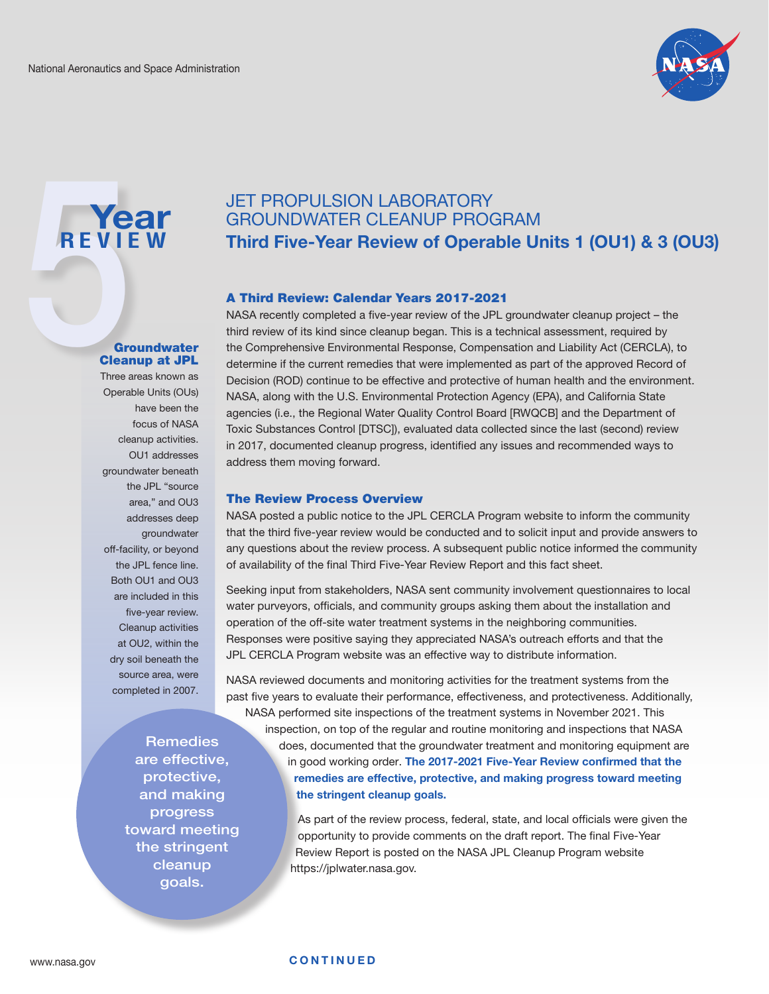

# REVII<br>
Grad<br>
Clear<br>
Three **Year REVIEW**

# JET PROPULSION LABORATORY GROUNDWATER CLEANUP PROGRAM **Third Five-Year Review of Operable Units 1 (OU1) & 3 (OU3)**

# A Third Review: Calendar Years 2017-2021

**Groundwater** Cleanup at JPL

Three areas known as Operable Units (OUs) have been the focus of NASA cleanup activities. OU1 addresses groundwater beneath the JPL "source area," and OU3 addresses deep groundwater off-facility, or beyond the JPL fence line. Both OU1 and OU3 are included in this five-year review. Cleanup activities at OU2, within the dry soil beneath the source area, were completed in 2007.

> **Remedies** are effective, protective, and making progress toward meeting the stringent cleanup goals.

NASA recently completed a five-year review of the JPL groundwater cleanup project – the third review of its kind since cleanup began. This is a technical assessment, required by the Comprehensive Environmental Response, Compensation and Liability Act (CERCLA), to determine if the current remedies that were implemented as part of the approved Record of Decision (ROD) continue to be effective and protective of human health and the environment. NASA, along with the U.S. Environmental Protection Agency (EPA), and California State agencies (i.e., the Regional Water Quality Control Board [RWQCB] and the Department of Toxic Substances Control [DTSC]), evaluated data collected since the last (second) review in 2017, documented cleanup progress, identified any issues and recommended ways to address them moving forward.

# The Review Process Overview

NASA posted a public notice to the JPL CERCLA Program website to inform the community that the third five-year review would be conducted and to solicit input and provide answers to any questions about the review process. A subsequent public notice informed the community of availability of the final Third Five-Year Review Report and this fact sheet.

Seeking input from stakeholders, NASA sent community involvement questionnaires to local water purveyors, officials, and community groups asking them about the installation and operation of the off-site water treatment systems in the neighboring communities. Responses were positive saying they appreciated NASA's outreach efforts and that the JPL CERCLA Program website was an effective way to distribute information.

NASA reviewed documents and monitoring activities for the treatment systems from the past five years to evaluate their performance, effectiveness, and protectiveness. Additionally, NASA performed site inspections of the treatment systems in November 2021. This inspection, on top of the regular and routine monitoring and inspections that NASA does, documented that the groundwater treatment and monitoring equipment are in good working order. **The 2017-2021 Five-Year Review confirmed that the remedies are effective, protective, and making progress toward meeting the stringent cleanup goals.** 

> As part of the review process, federal, state, and local officials were given the opportunity to provide comments on the draft report. The final Five-Year Review Report is posted on the NASA JPL Cleanup Program website https://jplwater.nasa.gov.

**CONTINUED**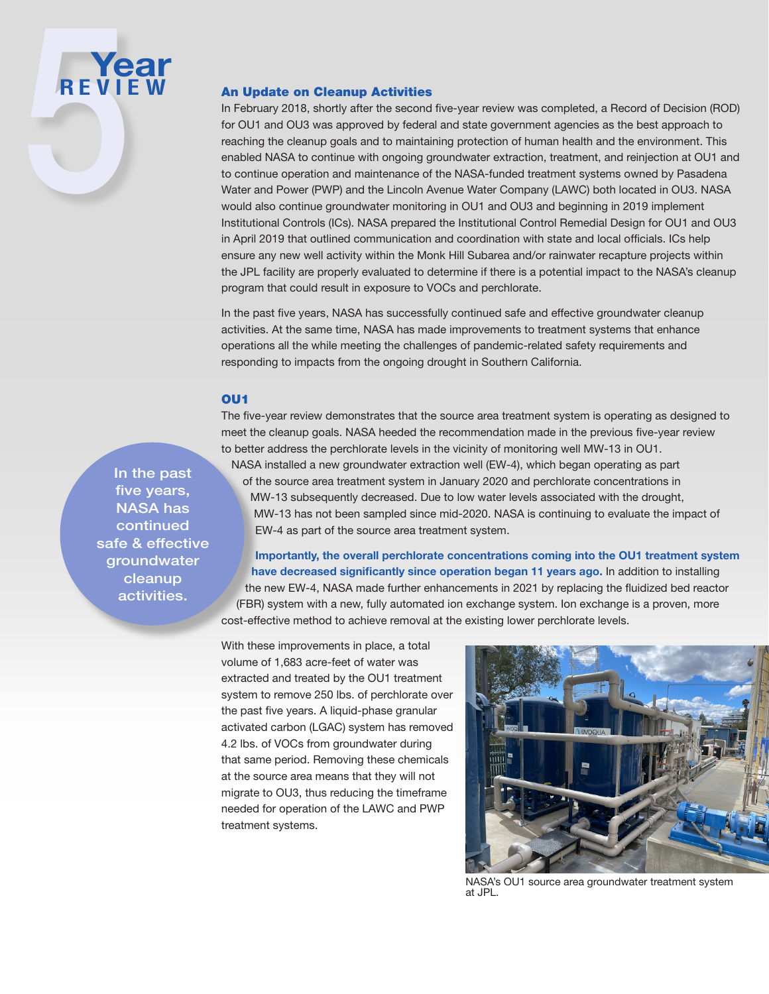

## An Update on Cleanup Activities

In February 2018, shortly after the second five-year review was completed, a Record of Decision (ROD) for OU1 and OU3 was approved by federal and state government agencies as the best approach to reaching the cleanup goals and to maintaining protection of human health and the environment. This enabled NASA to continue with ongoing groundwater extraction, treatment, and reinjection at OU1 and to continue operation and maintenance of the NASA-funded treatment systems owned by Pasadena Water and Power (PWP) and the Lincoln Avenue Water Company (LAWC) both located in OU3. NASA would also continue groundwater monitoring in OU1 and OU3 and beginning in 2019 implement Institutional Controls (ICs). NASA prepared the Institutional Control Remedial Design for OU1 and OU3 in April 2019 that outlined communication and coordination with state and local officials. ICs help ensure any new well activity within the Monk Hill Subarea and/or rainwater recapture projects within the JPL facility are properly evaluated to determine if there is a potential impact to the NASA's cleanup program that could result in exposure to VOCs and perchlorate.

In the past five years, NASA has successfully continued safe and effective groundwater cleanup activities. At the same time, NASA has made improvements to treatment systems that enhance operations all the while meeting the challenges of pandemic-related safety requirements and responding to impacts from the ongoing drought in Southern California.

# OU1

The five-year review demonstrates that the source area treatment system is operating as designed to meet the cleanup goals. NASA heeded the recommendation made in the previous five-year review to better address the perchlorate levels in the vicinity of monitoring well MW-13 in OU1.

In the past five years, NASA has continued safe & effective groundwater cleanup activities.

NASA installed a new groundwater extraction well (EW-4), which began operating as part of the source area treatment system in January 2020 and perchlorate concentrations in MW-13 subsequently decreased. Due to low water levels associated with the drought, MW-13 has not been sampled since mid-2020. NASA is continuing to evaluate the impact of EW-4 as part of the source area treatment system.

**Importantly, the overall perchlorate concentrations coming into the OU1 treatment system have decreased significantly since operation began 11 years ago.** In addition to installing

the new EW-4, NASA made further enhancements in 2021 by replacing the fluidized bed reactor (FBR) system with a new, fully automated ion exchange system. Ion exchange is a proven, more cost-effective method to achieve removal at the existing lower perchlorate levels.

With these improvements in place, a total volume of 1,683 acre-feet of water was extracted and treated by the OU1 treatment system to remove 250 lbs. of perchlorate over the past five years. A liquid-phase granular activated carbon (LGAC) system has removed 4.2 lbs. of VOCs from groundwater during that same period. Removing these chemicals at the source area means that they will not migrate to OU3, thus reducing the timeframe needed for operation of the LAWC and PWP treatment systems.



NASA's OU1 source area groundwater treatment system at JPL.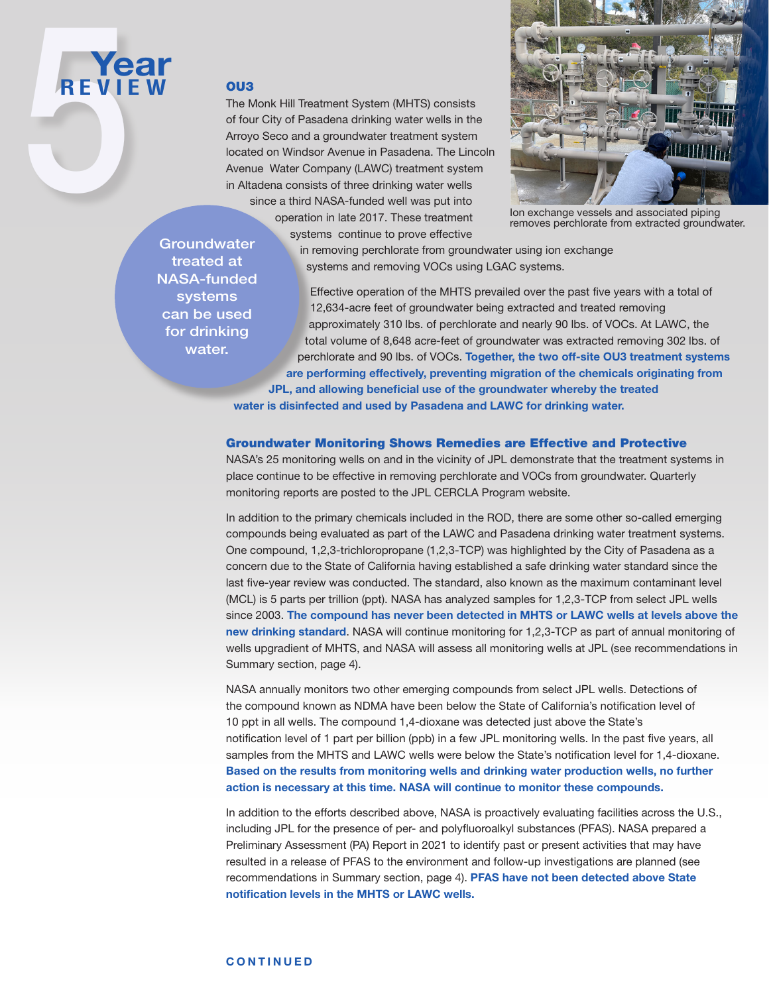

## OU3

The Monk Hill Treatment System (MHTS) consists of four City of Pasadena drinking water wells in the Arroyo Seco and a groundwater treatment system located on Windsor Avenue in Pasadena. The Lincoln Avenue Water Company (LAWC) treatment system in Altadena consists of three drinking water wells since a third NASA-funded well was put into operation in late 2017. These treatment systems continue to prove effective



Ion exchange vessels and associated piping removes perchlorate from extracted groundwater.

**Groundwater** treated at NASA-funded systems can be used for drinking water.

in removing perchlorate from groundwater using ion exchange systems and removing VOCs using LGAC systems.

Effective operation of the MHTS prevailed over the past five years with a total of 12,634-acre feet of groundwater being extracted and treated removing approximately 310 lbs. of perchlorate and nearly 90 lbs. of VOCs. At LAWC, the total volume of 8,648 acre-feet of groundwater was extracted removing 302 lbs. of perchlorate and 90 lbs. of VOCs. **Together, the two off-site OU3 treatment systems are performing effectively, preventing migration of the chemicals originating from** 

**JPL, and allowing beneficial use of the groundwater whereby the treated water is disinfected and used by Pasadena and LAWC for drinking water.**

#### Groundwater Monitoring Shows Remedies are Effective and Protective

NASA's 25 monitoring wells on and in the vicinity of JPL demonstrate that the treatment systems in place continue to be effective in removing perchlorate and VOCs from groundwater. Quarterly monitoring reports are posted to the JPL CERCLA Program website.

In addition to the primary chemicals included in the ROD, there are some other so-called emerging compounds being evaluated as part of the LAWC and Pasadena drinking water treatment systems. One compound, 1,2,3-trichloropropane (1,2,3-TCP) was highlighted by the City of Pasadena as a concern due to the State of California having established a safe drinking water standard since the last five-year review was conducted. The standard, also known as the maximum contaminant level (MCL) is 5 parts per trillion (ppt). NASA has analyzed samples for 1,2,3-TCP from select JPL wells since 2003. **The compound has never been detected in MHTS or LAWC wells at levels above the new drinking standard**. NASA will continue monitoring for 1,2,3-TCP as part of annual monitoring of wells upgradient of MHTS, and NASA will assess all monitoring wells at JPL (see recommendations in Summary section, page 4).

NASA annually monitors two other emerging compounds from select JPL wells. Detections of the compound known as NDMA have been below the State of California's notification level of 10 ppt in all wells. The compound 1,4-dioxane was detected just above the State's notification level of 1 part per billion (ppb) in a few JPL monitoring wells. In the past five years, all samples from the MHTS and LAWC wells were below the State's notification level for 1,4-dioxane. **Based on the results from monitoring wells and drinking water production wells, no further action is necessary at this time. NASA will continue to monitor these compounds.**

In addition to the efforts described above, NASA is proactively evaluating facilities across the U.S., including JPL for the presence of per- and polyfluoroalkyl substances (PFAS). NASA prepared a Preliminary Assessment (PA) Report in 2021 to identify past or present activities that may have resulted in a release of PFAS to the environment and follow-up investigations are planned (see recommendations in Summary section, page 4). **PFAS have not been detected above State notification levels in the MHTS or LAWC wells.**